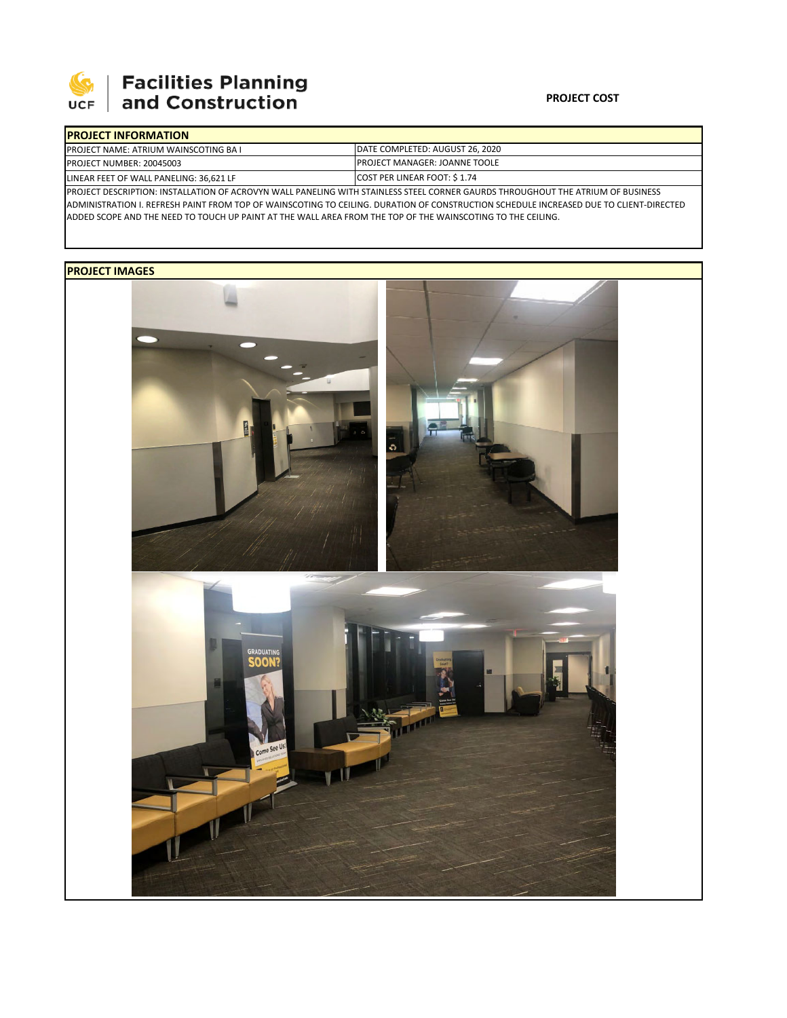

# **Facilities Planning**<br>and Construction

### **PROJECT COST**

|                                                                                                                                     | <b>IPROJECT INFORMATION</b>                  |                                 |  |  |  |
|-------------------------------------------------------------------------------------------------------------------------------------|----------------------------------------------|---------------------------------|--|--|--|
|                                                                                                                                     | <b>PROJECT NAME: ATRIUM WAINSCOTING BAIL</b> | DATE COMPLETED: AUGUST 26, 2020 |  |  |  |
|                                                                                                                                     | PROJECT NUMBER: 20045003                     | IPROJECT MANAGER: JOANNE TOOLE  |  |  |  |
| LINEAR FEET OF WALL PANELING: 36,621 LF                                                                                             |                                              | COST PER LINEAR FOOT: \$1.74    |  |  |  |
| IDDOIECT DESCRIPTION: INSTALLATION OF ACROVAN WALL DANELING WITH STAINLESS STEEL CORNER GALIRDS THROLIGHOUT THE ATRILIM OF RUSINESS |                                              |                                 |  |  |  |

PROJECT DESCRIPTION: INSTALLATION OF ACROVYN WALL PANELING WITH STAINLESS STEEL CORNER GAURDS THROUGHOUT THE ATRIUM OF BUSINESS ADMINISTRATION I. REFRESH PAINT FROM TOP OF WAINSCOTING TO CEILING. DURATION OF CONSTRUCTION SCHEDULE INCREASED DUE TO CLIENT‐DIRECTED ADDED SCOPE AND THE NEED TO TOUCH UP PAINT AT THE WALL AREA FROM THE TOP OF THE WAINSCOTING TO THE CEILING.

## **PROJECT IMAGES**